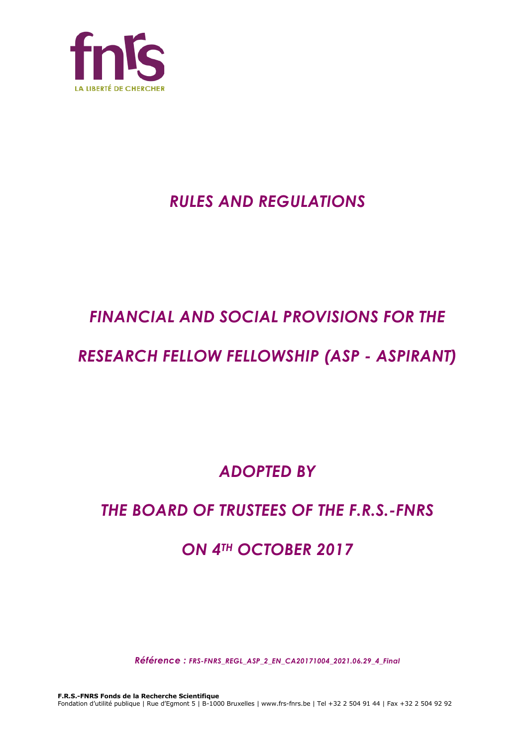

## *RULES AND REGULATIONS*

# *FINANCIAL AND SOCIAL PROVISIONS FOR THE*

## *RESEARCH FELLOW FELLOWSHIP (ASP - ASPIRANT)*

*ADOPTED BY*

## *THE BOARD OF TRUSTEES OF THE F.R.S.-FNRS*

## *ON 4TH OCTOBER 2017*

*Référence : FRS-FNRS\_REGL\_ASP\_2\_EN\_CA20171004\_2021.06.29\_4\_Final*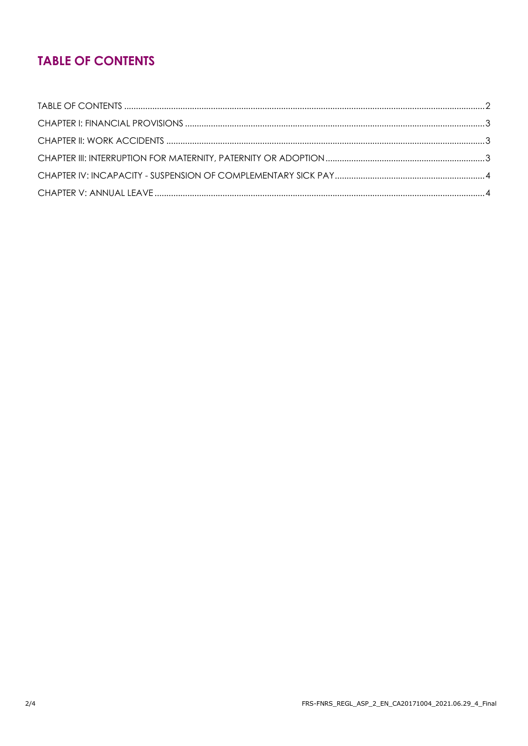## **TABLE OF CONTENTS**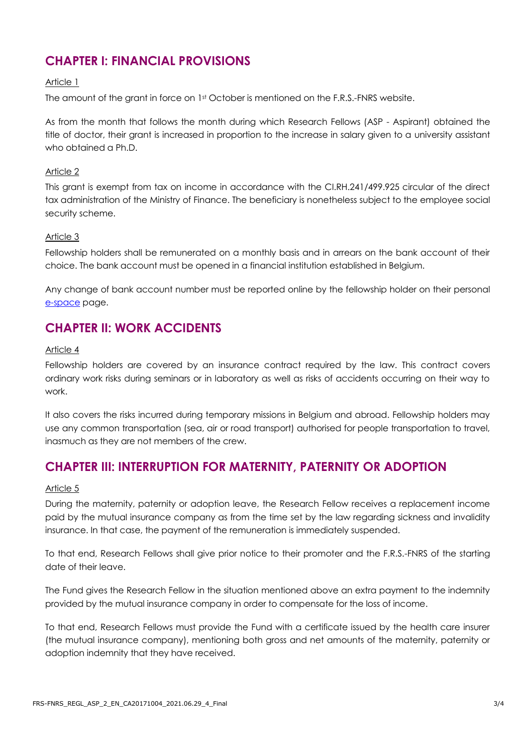### **CHAPTER I: FINANCIAL PROVISIONS**

#### Article 1

The amount of the grant in force on 1st October is mentioned on the F.R.S.-FNRS website.

As from the month that follows the month during which Research Fellows (ASP - Aspirant) obtained the title of doctor, their grant is increased in proportion to the increase in salary given to a university assistant who obtained a Ph.D.

#### Article 2

This grant is exempt from tax on income in accordance with the CI.RH.241/499.925 circular of the direct tax administration of the Ministry of Finance. The beneficiary is nonetheless subject to the employee social security scheme.

#### Article 3

Fellowship holders shall be remunerated on a monthly basis and in arrears on the bank account of their choice. The bank account must be opened in a financial institution established in Belgium.

Any change of bank account number must be reported online by the fellowship holder on their personal e[-space](https://e-space.frs-fnrs.be/) page.

### **CHAPTER II: WORK ACCIDENTS**

#### Article 4

Fellowship holders are covered by an insurance contract required by the law. This contract covers ordinary work risks during seminars or in laboratory as well as risks of accidents occurring on their way to work.

It also covers the risks incurred during temporary missions in Belgium and abroad. Fellowship holders may use any common transportation (sea, air or road transport) authorised for people transportation to travel, inasmuch as they are not members of the crew.

### **CHAPTER III: INTERRUPTION FOR MATERNITY, PATERNITY OR ADOPTION**

#### Article 5

During the maternity, paternity or adoption leave, the Research Fellow receives a replacement income paid by the mutual insurance company as from the time set by the law regarding sickness and invalidity insurance. In that case, the payment of the remuneration is immediately suspended.

To that end, Research Fellows shall give prior notice to their promoter and the F.R.S.-FNRS of the starting date of their leave.

The Fund gives the Research Fellow in the situation mentioned above an extra payment to the indemnity provided by the mutual insurance company in order to compensate for the loss of income.

To that end, Research Fellows must provide the Fund with a certificate issued by the health care insurer (the mutual insurance company), mentioning both gross and net amounts of the maternity, paternity or adoption indemnity that they have received.